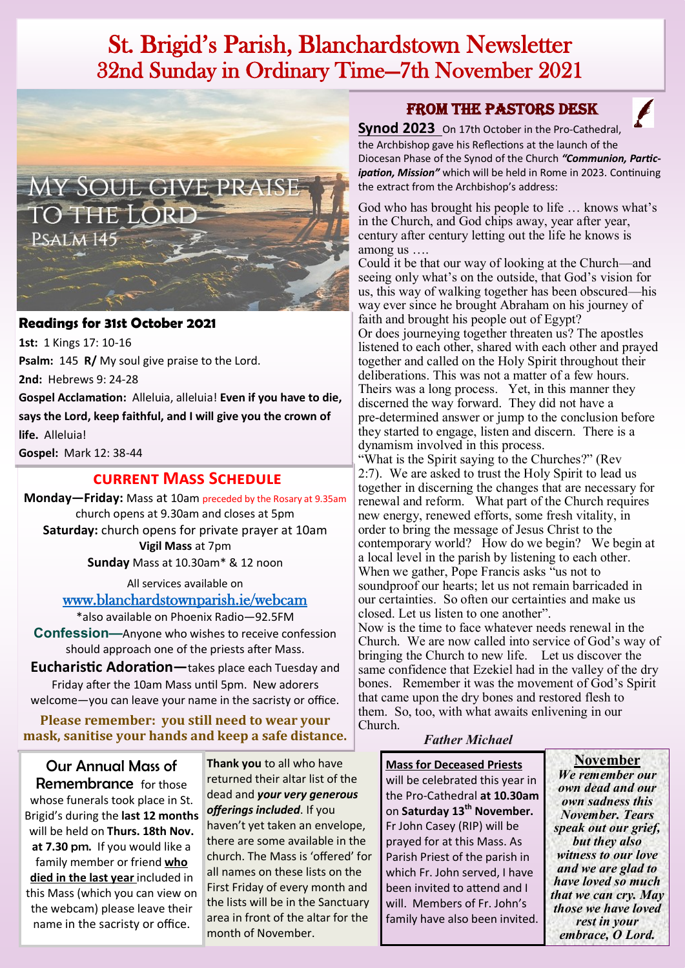# St. Brigid's Parish, Blanchardstown Newsletter 32nd Sunday in Ordinary Time—7th November 2021



#### **Readings for 31st October 2021**

**1st:** 1 Kings 17: 10-16 **Psalm:** 145 **R/** My soul give praise to the Lord.

**2nd:** Hebrews 9: 24-28

**Gospel Acclamation:** Alleluia, alleluia! **Even if you have to die, says the Lord, keep faithful, and I will give you the crown of life.** Alleluia!

**Gospel:** Mark 12: 38-44

## **current Mass Schedule**

**Monday—Friday:** Mass at 10am preceded by the Rosary at 9.35am church opens at 9.30am and closes at 5pm **Saturday:** church opens for private prayer at 10am **Vigil Mass** at 7pm **Sunday** Mass at 10.30am\* & 12 noon

All services available on

[www.blanchardstownparish.ie/webcam](http://www.blanchardstownparish.ie/webcam)

\*also available on Phoenix Radio—92.5FM **Confession—**Anyone who wishes to receive confession should approach one of the priests after Mass.

**Eucharistic Adoration—**takes place each Tuesday and Friday after the 10am Mass until 5pm. New adorers welcome—you can leave your name in the sacristy or office.

**Please remember: you still need to wear your mask, sanitise your hands and keep a safe distance.** 

Our Annual Mass of Remembrance for those whose funerals took place in St. Brigid's during the **last 12 months**  will be held on **Thurs. 18th Nov. at 7.30** pm. If you would like a family member or friend **who died in the last year** included in this Mass (which you can view on the webcam) please leave their name in the sacristy or office.

**Thank you** to all who have returned their altar list of the dead and *your very generous offerings included*. If you haven't yet taken an envelope, there are some available in the church. The Mass is 'offered' for all names on these lists on the First Friday of every month and the lists will be in the Sanctuary area in front of the altar for the month of November.

## From the Pastors Desk



**Synod 2023** On 17th October in the Pro-Cathedral, the Archbishop gave his Reflections at the launch of the Diocesan Phase of the Synod of the Church *"Communion, Participation, Mission"* which will be held in Rome in 2023. Continuing the extract from the Archbishop's address:

God who has brought his people to life … knows what's in the Church, and God chips away, year after year, century after century letting out the life he knows is among us ….

Could it be that our way of looking at the Church—and seeing only what's on the outside, that God's vision for us, this way of walking together has been obscured—his way ever since he brought Abraham on his journey of faith and brought his people out of Egypt? Or does journeying together threaten us? The apostles listened to each other, shared with each other and prayed together and called on the Holy Spirit throughout their deliberations. This was not a matter of a few hours. Theirs was a long process. Yet, in this manner they discerned the way forward. They did not have a pre-determined answer or jump to the conclusion before they started to engage, listen and discern. There is a dynamism involved in this process.

"What is the Spirit saying to the Churches?" (Rev 2:7). We are asked to trust the Holy Spirit to lead us together in discerning the changes that are necessary for renewal and reform. What part of the Church requires new energy, renewed efforts, some fresh vitality, in order to bring the message of Jesus Christ to the contemporary world? How do we begin? We begin at a local level in the parish by listening to each other. When we gather, Pope Francis asks "us not to soundproof our hearts; let us not remain barricaded in our certainties. So often our certainties and make us closed. Let us listen to one another".

Now is the time to face whatever needs renewal in the Church. We are now called into service of God's way of bringing the Church to new life. Let us discover the same confidence that Ezekiel had in the valley of the dry bones. Remember it was the movement of God's Spirit that came upon the dry bones and restored flesh to them. So, too, with what awaits enlivening in our Church.

### *Father Michael*

**Mass for Deceased Priests**  will be celebrated this year in the Pro-Cathedral **at 10.30am** on **Saturday 13th November.** Fr John Casey (RIP) will be prayed for at this Mass. As Parish Priest of the parish in which Fr. John served, I have been invited to attend and I will. Members of Fr. John's family have also been invited.

**November** *We remember our own dead and our own sadness this November. Tears speak out our grief, but they also witness to our love and we are glad to have loved so much that we can cry. May those we have loved rest in your embrace, O Lord.*